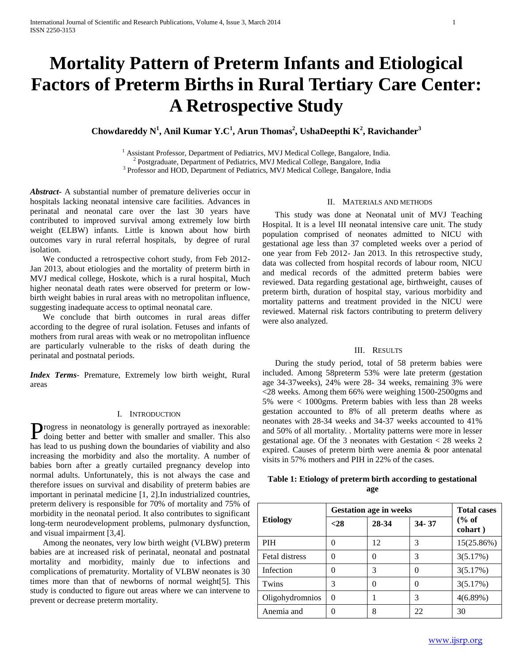# **Mortality Pattern of Preterm Infants and Etiological Factors of Preterm Births in Rural Tertiary Care Center: A Retrospective Study**

**Chowdareddy N<sup>1</sup> , Anil Kumar Y.C<sup>1</sup> , Arun Thomas<sup>2</sup> , UshaDeepthi K<sup>2</sup> , Ravichander<sup>3</sup>**

 $<sup>1</sup>$  Assistant Professor, Department of Pediatrics, MVJ Medical College, Bangalore, India.</sup> <sup>2</sup> Postgraduate, Department of Pediatrics, MVJ Medical College, Bangalore, India <sup>3</sup> Professor and HOD, Department of Pediatrics, MVJ Medical College, Bangalore, India

*Abstract***-** A substantial number of premature deliveries occur in hospitals lacking neonatal intensive care facilities. Advances in perinatal and neonatal care over the last 30 years have contributed to improved survival among extremely low birth weight (ELBW) infants. Little is known about how birth outcomes vary in rural referral hospitals, by degree of rural isolation.

 We conducted a retrospective cohort study, from Feb 2012- Jan 2013, about etiologies and the mortality of preterm birth in MVJ medical college, Hoskote, which is a rural hospital, Much higher neonatal death rates were observed for preterm or lowbirth weight babies in rural areas with no metropolitan influence, suggesting inadequate access to optimal neonatal care.

 We conclude that birth outcomes in rural areas differ according to the degree of rural isolation. Fetuses and infants of mothers from rural areas with weak or no metropolitan influence are particularly vulnerable to the risks of death during the perinatal and postnatal periods.

*Index Terms*- Premature, Extremely low birth weight, Rural areas

# I. INTRODUCTION

**Progress** in neonatology is generally portrayed as inexorable: Progress in neonatology is generally portrayed as inexorable:<br>doing better and better with smaller and smaller. This also has lead to us pushing down the boundaries of viability and also increasing the morbidity and also the mortality. A number of babies born after a greatly curtailed pregnancy develop into normal adults. Unfortunately, this is not always the case and therefore issues on survival and disability of preterm babies are important in perinatal medicine [1, 2].In industrialized countries, preterm delivery is responsible for 70% of mortality and 75% of morbidity in the neonatal period. It also contributes to significant long-term neurodevelopment problems, pulmonary dysfunction, and visual impairment [3,4].

 Among the neonates, very low birth weight (VLBW) preterm babies are at increased risk of perinatal, neonatal and postnatal mortality and morbidity, mainly due to infections and complications of prematurity. Mortality of VLBW neonates is 30 times more than that of newborns of normal weight[5]. This study is conducted to figure out areas where we can intervene to prevent or decrease preterm mortality.

### II. MATERIALS AND METHODS

 This study was done at Neonatal unit of MVJ Teaching Hospital. It is a level III neonatal intensive care unit. The study population comprised of neonates admitted to NICU with gestational age less than 37 completed weeks over a period of one year from Feb 2012- Jan 2013. In this retrospective study, data was collected from hospital records of labour room, NICU and medical records of the admitted preterm babies were reviewed. Data regarding gestational age, birthweight, causes of preterm birth, duration of hospital stay, various morbidity and mortality patterns and treatment provided in the NICU were reviewed. Maternal risk factors contributing to preterm delivery were also analyzed.

# III. RESULTS

 During the study period, total of 58 preterm babies were included. Among 58preterm 53% were late preterm (gestation age 34-37weeks), 24% were 28- 34 weeks, remaining 3% were <28 weeks. Among them 66% were weighing 1500-2500gms and 5% were < 1000gms. Preterm babies with less than 28 weeks gestation accounted to 8% of all preterm deaths where as neonates with 28-34 weeks and 34-37 weeks accounted to 41% and 50% of all mortality. . Mortality patterns were more in lesser gestational age. Of the 3 neonates with Gestation < 28 weeks 2 expired. Causes of preterm birth were anemia & poor antenatal visits in 57% mothers and PIH in 22% of the cases.

# **Table 1: Etiology of preterm birth according to gestational age**

| <b>Etiology</b> | <b>Gestation age in weeks</b> | <b>Total cases</b> |           |                             |
|-----------------|-------------------------------|--------------------|-----------|-----------------------------|
|                 | $28$                          | 28-34              | $34 - 37$ | $\frac{6}{6}$ of<br>cohart) |
| <b>PIH</b>      |                               | 12                 | 3         | 15(25.86%)                  |
| Fetal distress  |                               | 0                  | 3         | 3(5.17%)                    |
| Infection       |                               | 3                  | 0         | 3(5.17%)                    |
| Twins           | 3                             |                    | $\left($  | 3(5.17%)                    |
| Oligohydromnios | 0                             |                    | 3         | 4(6.89%)                    |
| Anemia and      |                               | 8                  | 22        | 30                          |